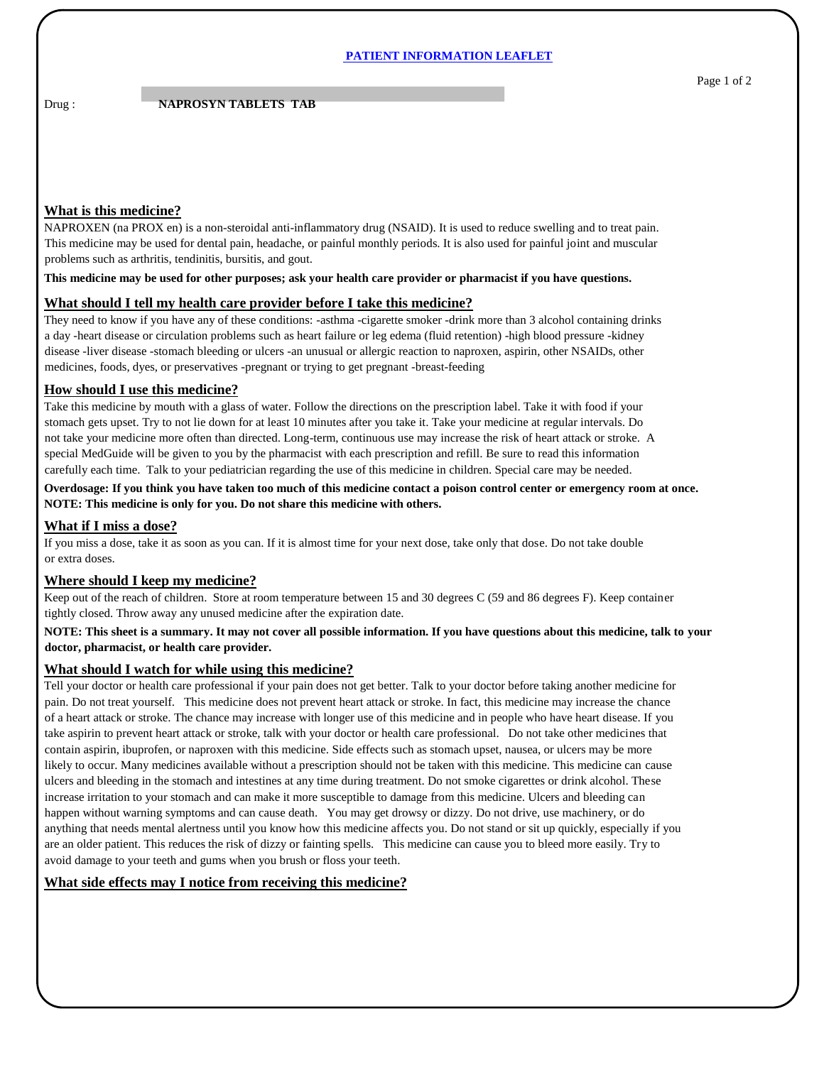### **PATIENT INFORMATION LEAFLET**

Drug : **NAPROSYN TABLETS TAB** 

# **What is this medicine?**

NAPROXEN (na PROX en) is a non-steroidal anti-inflammatory drug (NSAID). It is used to reduce swelling and to treat pain. This medicine may be used for dental pain, headache, or painful monthly periods. It is also used for painful joint and muscular problems such as arthritis, tendinitis, bursitis, and gout.

**This medicine may be used for other purposes; ask your health care provider or pharmacist if you have questions.**

## **What should I tell my health care provider before I take this medicine?**

They need to know if you have any of these conditions: -asthma -cigarette smoker -drink more than 3 alcohol containing drinks a day -heart disease or circulation problems such as heart failure or leg edema (fluid retention) -high blood pressure -kidney disease -liver disease -stomach bleeding or ulcers -an unusual or allergic reaction to naproxen, aspirin, other NSAIDs, other medicines, foods, dyes, or preservatives -pregnant or trying to get pregnant -breast-feeding

#### **How should I use this medicine?**

Take this medicine by mouth with a glass of water. Follow the directions on the prescription label. Take it with food if your stomach gets upset. Try to not lie down for at least 10 minutes after you take it. Take your medicine at regular intervals. Do not take your medicine more often than directed. Long-term, continuous use may increase the risk of heart attack or stroke. A special MedGuide will be given to you by the pharmacist with each prescription and refill. Be sure to read this information carefully each time. Talk to your pediatrician regarding the use of this medicine in children. Special care may be needed.

**Overdosage: If you think you have taken too much of this medicine contact a poison control center or emergency room at once. NOTE: This medicine is only for you. Do not share this medicine with others.**

## **What if I miss a dose?**

If you miss a dose, take it as soon as you can. If it is almost time for your next dose, take only that dose. Do not take double or extra doses.

# **Where should I keep my medicine?**

Keep out of the reach of children. Store at room temperature between 15 and 30 degrees C (59 and 86 degrees F). Keep container tightly closed. Throw away any unused medicine after the expiration date.

#### **NOTE: This sheet is a summary. It may not cover all possible information. If you have questions about this medicine, talk to your doctor, pharmacist, or health care provider.**

#### **What should I watch for while using this medicine?**

Tell your doctor or health care professional if your pain does not get better. Talk to your doctor before taking another medicine for pain. Do not treat yourself. This medicine does not prevent heart attack or stroke. In fact, this medicine may increase the chance of a heart attack or stroke. The chance may increase with longer use of this medicine and in people who have heart disease. If you take aspirin to prevent heart attack or stroke, talk with your doctor or health care professional. Do not take other medicines that contain aspirin, ibuprofen, or naproxen with this medicine. Side effects such as stomach upset, nausea, or ulcers may be more likely to occur. Many medicines available without a prescription should not be taken with this medicine. This medicine can cause ulcers and bleeding in the stomach and intestines at any time during treatment. Do not smoke cigarettes or drink alcohol. These increase irritation to your stomach and can make it more susceptible to damage from this medicine. Ulcers and bleeding can happen without warning symptoms and can cause death. You may get drowsy or dizzy. Do not drive, use machinery, or do anything that needs mental alertness until you know how this medicine affects you. Do not stand or sit up quickly, especially if you are an older patient. This reduces the risk of dizzy or fainting spells. This medicine can cause you to bleed more easily. Try to avoid damage to your teeth and gums when you brush or floss your teeth.

# **What side effects may I notice from receiving this medicine?**